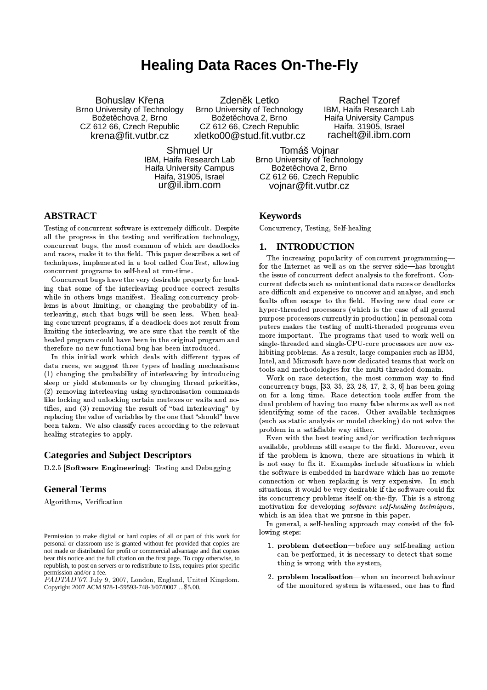# **Healing Data Races On-The-Fly**

Bohuslav Křena Brno University of Technology Božetěchova 2, Brno CZ 612 66, Czech Republic krena@fit.vutbr.cz

Zdeněk Letko Brno University of Technology Božetěchova 2, Brno CZ 612 66, Czech Republic xletko00@stud.fit.vutbr.cz

Rachel Tzoref IBM, Haifa Research Lab Haifa University Campus Haifa, 31905, Israel rachelt@il.ibm.com

IBM, Haifa Research Lab Haifa University Campus Tomáš Vojnar Brno University of Technology Božetěchova 2, Brno CZ 612 66, Czech Republic vojnar@fit.vutbr.cz

## **ABSTRACT**

 $-$  . A set of the set of the set of the set of the set of the set of the set of the set of the set of the set of the set of the set of the set of the set of the set of the set of the set of the set of the set of the set  $\blacksquare$  . The contract of the contract of the contract of the contract of the contract of the contract of the contract of the contract of the contract of the contract of the contract of the contract of the contract of the 
 - 
 - 
 - - -  $\blacksquare$  . The set of the set of the set of the set of the set of the set of the set of the set of the set of the set of the set of the set of the set of the set of the set of the set of the set of the set of the set of the  $-$  -box  $-$  -box  $-$  -box  $-$  -box  $-$  -box  $-$  -box  $-$  -box  $-$  -box  $-$  -box  $-$  -box  $-$ 

Shmuel Ur

Haifa, 31905, Israel ur@il.ibm.com

 - 
 - 

 . The set of the set of the set of the set of the set of the set of the set of  $\mathcal{N}$  - - 
 - 
 - - 

 - 
 -  - - - ! 
 . The set of the set of the set of the set of the set of the set of the set of the set of the set of the set of the set of the set of the set of the set of the set of the set of the set of the set of the set of the set of 
  - 
 - 
entra de la contrada de la contrada de la contrada de la contrada de la contrada de la contrada de la contrada

 $\blacksquare$  . The contract of the contract of the contract of the contract of the contract of the contract of the contract of the contract of the contract of the contract of the contract of the contract of the contract of the 

 -  - - - 

 -(1) changing the probability of interleaving by introducing - - 
 - 

 -(2) removing interleaving using synchronisation commands  $\sum_{n=0}^{\infty}$  on for 
 -  
 tifies, and (3) removing the result of "bad interleaving" by  $\frac{du}{dx}$  

 - 
 \* - + 
 ! - 
 - - 
 - 

 - 
 -

### **Categories and Subject Descriptors**

(الله عليه الله عليه الله عليه الله عليه الله عليه الله عليه الله عليه الله عليه الله عليه الله عليه الله عليه

### **General Terms**

 $\mathbf{r}$  , and the contract of the contract of the contract of the contract of the contract of the contract of the contract of the contract of the contract of the contract of the contract of the contract of the contract o

### **Keywords**

 - = 

### **1. INTRODUCTION**

 $\mathbf{u}_1$  current defects such as unintentional data races or deadlocks  $\mu_{\rm{beam}}$  - purpose processors currently in production) in personal comhibiting problems. As a result, large companies such as IBM,  $\frac{1}{2}$  of  $\frac{1}{2}$  and Microsoft have now dedicated teams that work on tools and methodologies for the multi-threaded domain. - - 
 - -  $\blacksquare$  . The contract of the contract of the contract of the contract of the contract of the contract of the contract of the contract of the contract of the contract of the contract of the contract of the contract of the  $\blacksquare$  . The set of the set of the set of the set of the set of the set of the set of the set of the set of the set of the set of the set of the set of the set of the set of the set of the set of the set of the set of the  $-$  . The state of the state of the state of the state of the state of the state of the state of the state of the state of the state of the state of the state of the state of the state of the state of the state of the sta -definition of the contract of the contract of the contract of the contract of the contract of the contract of the contract of the contract of the contract of the contract of the contract of the contract of the contract o - 
 - ? @ - - - 

 $\delta$  Work on race detection, the most common way to find concurrency bugs, [33, 35, 23, 28, 17, 2, 3, 6] has been going  $\alpha$  , and the set of  $\alpha$  and the set of  $\alpha$  and the set of  $\alpha$  and the set of  $\alpha$  $\blacksquare$  . The set of the set of the set of the set of the set of the set of the set of the set of the set of the set of the set of the set of the set of the set of the set of the set of the set of the set of the set of the (such as static analysis or model checking) do not solve the  $\,$ 

 $\mathcal{L} = \mathcal{L} \mathcal{L} = \mathcal{L} \mathcal{L}$  . The contract of the contract of the contract of the contract of the contract of the contract of the contract of the contract of the contract of the contract of the contract of the cont 
 - - - 
 B . The set of the set of the set of the set of the set of the set of the set of the set of the set of the set of the set of the set of the set of the set of the set of the set of the set of the set of the set of the set of  $-$  . The contract of the contract of the contract of the contract of the contract of the contract of the contract of the contract of the contract of the contract of the contract of the contract of the contract of the con - 
 -  - 
 -  
 - - - J - - motivation for developing software self-healing techniques,  $\mathcal{L} = \mathcal{L} = \mathcal{L} = \mathcal{L} = \mathcal{L} = \mathcal{L} = \mathcal{L} = \mathcal{L} = \mathcal{L} = \mathcal{L} = \mathcal{L} = \mathcal{L} = \mathcal{L} = \mathcal{L} = \mathcal{L} = \mathcal{L} = \mathcal{L} = \mathcal{L} = \mathcal{L} = \mathcal{L} = \mathcal{L} = \mathcal{L} = \mathcal{L} = \mathcal{L} = \mathcal{L} = \mathcal{L} = \mathcal{L} = \mathcal{L} = \mathcal{L} = \mathcal{L} = \mathcal{L} = \mathcal$ 

" 
 - 

 - -  - -

- $\blacksquare$  . The set of the set of the set of the set of the set of the set of the set of the set of the set of the set of the set of the set of the set of the set of the set of the set of the set of the set of the set of the  $-$  -box  $-$  -box  $-$  -box  $-$  -box  $-$  -box  $-$  -box  $-$  -box  $-$  -box  $-$  -box  $\mathcal{L}=\mathcal{L}=\mathcal{L}=\mathcal{L}=\mathcal{L}=\mathcal{L}=\mathcal{L}=\mathcal{L}=\mathcal{L}=\mathcal{L}=\mathcal{L}=\mathcal{L}=\mathcal{L}=\mathcal{L}=\mathcal{L}=\mathcal{L}=\mathcal{L}=\mathcal{L}=\mathcal{L}=\mathcal{L}=\mathcal{L}=\mathcal{L}=\mathcal{L}=\mathcal{L}=\mathcal{L}=\mathcal{L}=\mathcal{L}=\mathcal{L}=\mathcal{L}=\mathcal{L}=\mathcal{L}=\mathcal{L}=\mathcal{L}=\mathcal{L}=\mathcal{L}=\mathcal{L}=\mathcal{$
- 

Permission to make digital or hard copies of all or part of this work for personal or classroom use is granted without fee provided that copies are not made or distributed for profit or commercial advantage and that copies bear this notice and the full citation on the first page. To copy otherwise, to republish, to post on servers or to redistribute to lists, requires prior specific permission and/or a fee. PADTAD'07, July 9, 2007, London, England, United Kingdom.

Copyright 2007 ACM 978-1-59593-748-3/07/0007 ...\$5.00.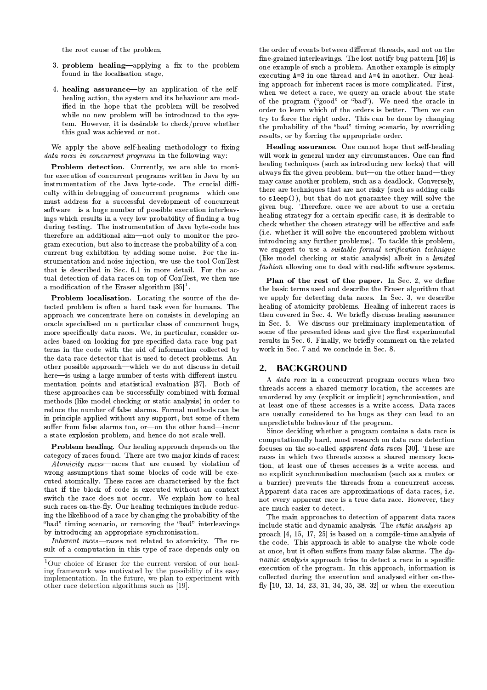-

- ) and the set of the set of the set of the set of the set of the set of the set of the set of the set of the set of the set of the set of the set of the set of the set of the set of the set of the set of the set of the se  $\overline{a}$  . The state of the state of the state of the state of the state of the state of the state of the state of the state of the state of the state of the state of the state of the state of the state of the state of th
- 5 3 ^ 97 8 3 b b-43 7 a 5> 
 - 
 - - 
 ified in the hope that the problem will be resolved en de la construcción de la construcción de la construcción de la construcción de la construcción de la constru  - - 
 I   $-$  . The contract of the contract of the contract of the contract of the contract of the contract of the contract of the contract of the contract of the contract of the contract of the contract of the contract of the con

! 
 data races in concurrent programs in the following way:

 4/ ] ^5\_ ` 5 15 a 1 9/ 7  en de la construcción de la construcción de la construcción de la construcción de la construcción de la constr 
enter and the contract of the contract of the contract of the contract of the contract of the contract of the c - - - - - -  $\alpha$  , and the contract of the contract of the contract of the contract of the contract of the contract of the contract of the contract of the contract of the contract of the contract of the contract of the contract of th -  - -  
 - - 

 therefore an additional aim-not only to monitor the pro- - 
 - 
 - -  $\sim$  . The state of the state of the state of the state of the state of the state of the state of the state of the state of the state of the state of the state of the state of the state of the state of the state of the st 
 - - = E & 

 - -  - $\mathbf{H} = \mathbf{H} \mathbf{H} \mathbf{H} \mathbf{H} \mathbf{H} \mathbf{H} \mathbf{H} \mathbf{H} \mathbf{H} \mathbf{H} \mathbf{H} \mathbf{H} \mathbf{H} \mathbf{H} \mathbf{H} \mathbf{H} \mathbf{H} \mathbf{H} \mathbf{H} \mathbf{H} \mathbf{H} \mathbf{H} \mathbf{H} \mathbf{H} \mathbf{H} \mathbf{H} \mathbf{H} \mathbf{H} \mathbf{H} \mathbf{H} \mathbf{H} \mathbf{H} \mathbf{H} \mathbf{H} \mathbf{H} \mathbf$ 

 4/ ] ^5\_ ^/ a3 ^ 9b3 1 9/ 7 
 - - 

 - 
 - 
  
 - - - 
 - 
 - 

 - - - 그 대표 - 그 대표 - 그 대표 - 그 대표 - 그 대표 - 그 대표 - 그 대표 - 그 대표 - 그 대표 - 그 대표 - 그 대표 - 그 대표 - 그 대표 - 그 대표 - 그 대표 - 그 대  $-$  . The state of the state of the state of the state of the state of the state of the state of the state of the state of the state of the state of the state of the state of the state of the state of the state of the sta records and the contract of the contract of the contract of the contract of the contract of the contract of the  $\mathbf{r} = \mathbf{r} + \mathbf{r}$  , and the set of the set of the set of the set of the set of the set of the set of the set of the set of the set of the set of the set of the set of the set of the set of the set of the set of the s  $\blacksquare$  . The set of the set of the set of the set of the set of the set of the set of the set of the set of the set of the set of the set of the set of the set of the set of the set of the set of the set of the set of the  $\blacksquare$  . The contract of the contract of the contract of the contract of the contract of the contract of the contract of the contract of the contract of the contract of the contract of the contract of the contract of the  $\overline{\phantom{a}}$  . The state of the state  $\overline{\phantom{a}}$  . The state of the state of the state of the state of the state of the state of the state of the state of the state of the state of the state of the state of the state of t methods (like model checking or static analysis) in order to the different . The contract of the contract of the contract of the contract of the contract of the contract of the contract of the contract of the contract of the contract of the contract of the contract of the contract of the contrac  $\alpha$  ,  $\alpha$  ,  $\alpha$  ,  $\alpha$  ,  $\alpha$  ,  $\alpha$  ,  $\alpha$  ,  $\alpha$  ,  $\alpha$  ,  $\alpha$  ,  $\alpha$  ,  $\alpha$  ,  $\alpha$  ,  $\alpha$  ,  $\alpha$  ,  $\alpha$  ,  $\alpha$  ,  $\alpha$  ,  $\alpha$  ,  $\alpha$  ,  $\alpha$  ,  $\alpha$  ,  $\alpha$  ,  $\alpha$  ,  $\alpha$  ,  $\alpha$  ,  $\alpha$  ,  $\alpha$  ,  $\alpha$  ,  $\alpha$  ,  $\alpha$  ,  $\alpha$ - 
 - - 
 

 4/ ] ^5\_ 5 3 ^ 97 8 G 

 -  $\alpha$  , and  $\alpha$  , and  $\alpha$  , and  $\alpha$  , and  $\alpha$  , and  $\alpha$  , and  $\alpha$  , and  $\alpha$  , and  $\alpha$  , and  $\alpha$  , and  $\alpha$  , and  $\alpha$  , and  $\alpha$  , and  $\alpha$  , and  $\alpha$  , and  $\alpha$  , and  $\alpha$  , and  $\alpha$  , and  $\alpha$  , and  $\alpha$  , and

 $\mathcal{L} = \mathcal{L} \times \mathcal{L} = \mathcal{L} \times \mathcal{L} = \mathcal{L} \times \mathcal{L} = \mathcal{L} \times \mathcal{L} = \mathcal{L} \times \mathcal{L} = \mathcal{L} \times \mathcal{L} = \mathcal{L} \times \mathcal{L} = \mathcal{L} \times \mathcal{L} = \mathcal{L} \times \mathcal{L} = \mathcal{L} \times \mathcal{L} = \mathcal{L} \times \mathcal{L} = \mathcal{L} \times \mathcal{L} = \mathcal{L} \times \mathcal{L} = \mathcal{L} \times \mathcal{L} = \mathcal$  - - - 
 - -   $\blacksquare$  . The contract of the contract of the contract of the contract of the contract of the contract of the contract of the contract of the contract of the contract of the contract of the contract of the contract of the  $\sim$  . The contract of the contract of the contract of the contract of the contract of the contract of the contract of the contract of the contract of the contract of the contract of the contract of the contract of the co - 
 - J G 
 ing the likelihood of a race by changing the probability of the  $\cdots$  . The set of the set of the set of the set of the set of the set of the set of the set of the set of the set of the set of the set of the set of the set of the set of the set of the set of the set of the set of the . The contract of the contract of the contract of the contract of the contract of the contract of the contract of the contract of the contract of the contract of the contract of the contract of the contract of the contrac

We require the contribution of  $\mathcal{L}_\mathcal{P}$  and  $\mathcal{L}_\mathcal{P}$  are the contribution of  $\mathcal{L}_\mathcal{P}$  $\mathbf{a}$  , and  $\mathbf{a}$  , and  $\mathbf{a}$  , and  $\mathbf{a}$  , and  $\mathbf{a}$  , and  $\mathbf{a}$  , and  $\mathbf{a}$  , and  $\mathbf{a}$  , and  $\mathbf{a}$  , and  $\mathbf{a}$  , and  $\mathbf{a}$  , and  $\mathbf{a}$  , and  $\mathbf{a}$  , and  $\mathbf{a}$  , and  $\mathbf{a}$  ,

... ing approach for inherent races is more complicated. First,  $^{1110Q}$  of the program ("good" or "bad"). We need the oracle in  $\mathcal{L}^{\text{eu}}$  order to learn which of the orders is better. Then we can  $\blacksquare$  . The second contract of the second contract of the second contract of the second contract of the second contract of the second contract of the second contract of the second contract of the second contract of the s 

 - - 
 -&E : - 
 - ; 
 - and the contract of the contract of the contract of the contract of the contract of the contract of the contract of - - 

 $\frac{1}{2}$  to sleep(), but that do not guarantee they will solve the  $\frac{1}{2}$  hosting strategy for a corrain specific case, it is desirable to  $\epsilon$  check whether the chosen strategy will be effective and safe. t (like model checking or static analysis) albeit in a *limited* healing techniques (such as introducing new locks) that will - - - 
 -  $\mathcal{A} = \mathcal{A} \mathcal{A} + \mathcal{A} \mathcal{A} + \mathcal{A} \mathcal{A} + \mathcal{A} \mathcal{A} + \mathcal{A} \mathcal{A} + \mathcal{A} \mathcal{A} + \mathcal{A} \mathcal{A} + \mathcal{A} \mathcal{A} + \mathcal{A} \mathcal{A} + \mathcal{A} \mathcal{A} + \mathcal{A} \mathcal{A} + \mathcal{A} \mathcal{A} + \mathcal{A} \mathcal{A} + \mathcal{A} \mathcal{A} + \mathcal{A} \mathcal{A} + \mathcal{A} \mathcal{A} + \mathcal{A$ and the contract of the contract of the contract of the contract of the contract of the contract of the contract of the contract of the contract of the contract of the contract of the contract of the contract of the contra  $\alpha$  , and the set of the set of the set of the set of the set of the set of the set of the set of the set of the set of the set of the set of the set of the set of the set of the set of the set of the set of the set of t introducing any further problems). To tackle this problem,  $\mathcal{L} = \mathcal{L} \mathcal{L} = \mathcal{L} \mathcal{L} = \mathcal{L} \mathcal{L} = \mathcal{L} \mathcal{L} = \mathcal{L} \mathcal{L} = \mathcal{L} \mathcal{L} \mathcal{L} = \mathcal{L} \mathcal{L} \mathcal{L} = \mathcal{L} \mathcal{L} \mathcal{L} \mathcal{L} = \mathcal{L} \mathcal{L} \mathcal{L} \mathcal{L} = \mathcal{L} \mathcal{L} \mathcal{L} \mathcal{L} \mathcal{L} \mathcal{L} = \mathcal{L} \mathcal{L} \mathcal{L} \mathcal{L$  $\mathcal{A}$  and  $\mathcal{A}$  . The contract of the contract of the contract of the contract of the contract of the contract of the contract of the contract of the contract of the contract of the contract of the contract of the c

 
 - 

 - - $\sim$  . A set of the set of the set of the set of the set of the set of the set of the set of the set of the set of the set of the set of the set of the set of the set of the set of the set of the set of the set of the set  $\mathbf{1}$  , and  $\mathbf{1}$  , and  $\mathbf{1}$  , and  $\mathbf{1}$  , and  $\mathbf{1}$  ,  $\mathbf{1}$ Plan of the rest of the paper. In Sec. 2, we define 
 - - - - H 
 - 
  

 - " = )  -  $\mathbf{1}$  , and  $\mathbf{1}$  , and  $\mathbf{1}$  , and  $\mathbf{1}$  , and  $\mathbf{1}$  , and  $\mathbf{1}$  , and  $\mathbf{1}$  , and  $\mathbf{1}$  $\alpha$  , and the set of the set of the set of the set of the set of the set of the set of the set of the set of the set of the set of the set of the set of the set of the set of the set of the set of the set of the set of t  $\sim$  0.000  $\sim$  0.000  $\sim$  0.000  $\sim$  0.000  $\sim$  0.000  $\sim$  0.000  $\sim$  0.000  $\sim$  0.000  $\sim$  0.000  $\sim$  0.000  $\sim$  0.000  $\sim$  0.000  $\sim$  0.000  $\sim$  0.000  $\sim$  0.000  $\sim$  0.000  $\sim$  0.000  $\sim$  0.000  $\sim$  0.000  $\sim$  0.000

### **2. BACKGROUND**

 $\alpha$  at least one of these accesses is a write access. Data races q impredictable behaviour of the program.  $\mathcal{L} = \mathcal{L} \times \mathcal{L}$  . The properties of the properties of the properties of the properties of the properties of the properties of the properties of the properties of the properties of the properties of the properties - A set of the set of the set of the set of the set of the set of the set of the set of the set of the set of the set of the set of the set of the set of the set of the set of the set of the set of the set of the set of th unordered by any (explicit or implicit) synchronisation, and - 그 대표 - 그 대표 - 그 대표 - 그 대표 - 그 대표 - 그 대표 - 그 대표 - 그 대표 - 그 대표 - 그 대표 - 그 대표 - 그 대표 - 그 대표 - 그 대표 - 그 대표 - 그 대

> $\sim$  . The contract of the contract of the contract of the contract of the contract of the contract of the contract of the contract of the contract of the contract of the contract of the contract of the contract of the co  $\blacksquare$  . The contract of the contract of the contract of the contract of the contract of the contract of the contract of the contract of the contract of the contract of the contract of the contract of the contract of the  $-$  -  $-$  -  $-$  -  $-$  -  $-$  -  $-$  -  $-$  -  $-$  -  $-$  -  $-$  -  $-$  -  $-$  -  $-$  -  $-$  -  $-$  -  $-$  -  $-$  -  $-$  -  $-$  -  $-$  -  $-$  -  $-$  -  $-$  -  $-$  -  $-$  -  $-$  -  $-$  -  $-$  -  $-$  -  $-$  -  $-$  -  $-$  -  $-$  -  $-$  -  $-$  -  $-$  -  $-$  - $\sim$  . The set of the set of the set of the set of the set of the set of the set of the set of the set of the set of the set of the set of the set of the set of the set of the set of the set of the set of the set of the s a barrier) prevents the threads from a concurrent access.  $\mathbf{r} = \mathbf{r} + \mathbf{r} + \mathbf{r} + \mathbf{r} + \mathbf{r} + \mathbf{r} + \mathbf{r} + \mathbf{r} + \mathbf{r} + \mathbf{r} + \mathbf{r} + \mathbf{r} + \mathbf{r} + \mathbf{r} + \mathbf{r} + \mathbf{r} + \mathbf{r} + \mathbf{r} + \mathbf{r} + \mathbf{r} + \mathbf{r} + \mathbf{r} + \mathbf{r} + \mathbf{r} + \mathbf{r} + \mathbf{r} + \mathbf{r} + \mathbf{r} + \mathbf{r} + \mathbf{r} + \mathbf$ 
> the contract of the contract of the contract of the contract of the contract of the contract of the contract o

> - 
> 
> 
>  - - <sup>K</sup> N P N V Y PW P S <sup>K</sup> VK  $-$  . The set of the set of the set of the set of the set of the set of the set of the set of the set of the set of the set of the set of the set of the set of the set of the set of the set of the set of the set of the se 
>  - &, &D ( , : - 
>  - 
>  - - - 
>  - 
>  -  - # - 
>  - 
>  -  <sup>T</sup> When  $\mathcal{L} = \mathcal{L} \times \mathcal{L}$  is a set of the set of the set of the set of the set of the set of the set of the set of the set of the set of the set of the set of the set of the set of the set of the set of the set of the  $\Delta$  , and  $\Delta$  , and  $\Delta$  , and  $\Delta$  , and  $\Delta$  , and  $\Delta$  , and  $\Delta$  , and  $\Delta$  , and  $\Delta$  , and  $\Delta$  , and  $\Delta$

<sup>1</sup>Our choice of Eraser for the current version of our healing framework was motivated by the possibility of its easy implementation. In the future, we plan to experiment with other race detection algorithms such as [19].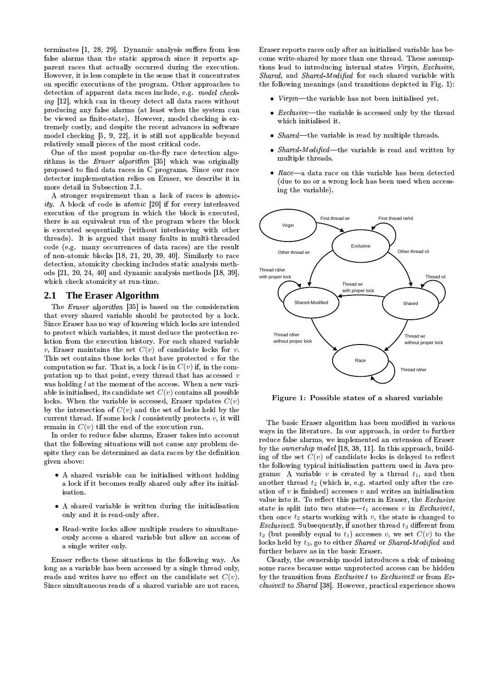- -& ( C ( : 

 - - - # - - $\blacksquare$  . The set of the set of the set of the set of the set of the set of the set of the set of the set of the set of the set of the set of the set of the set of the set of the set of the set of the set of the set of the and the contract of the contract of the contract of the contract of the contract of the contract of the contract of  - - - - - 

 - $\overline{\phantom{a}}$  ,  $\overline{\phantom{a}}$  ,  $\overline{\phantom{a}}$  ,  $\overline{\phantom{a}}$  ,  $\overline{\phantom{a}}$  ,  $\overline{\phantom{a}}$  ,  $\overline{\phantom{a}}$  ,  $\overline{\phantom{a}}$  ,  $\overline{\phantom{a}}$  ,  $\overline{\phantom{a}}$  ,  $\overline{\phantom{a}}$  ,  $\overline{\phantom{a}}$  ,  $\overline{\phantom{a}}$  ,  $\overline{\phantom{a}}$  ,  $\overline{\phantom{a}}$  ,  $\overline{\phantom{a}}$  $\mathcal{L} = \mathcal{L} = \mathcal{L} = \mathcal{L} = \mathcal{L} = \mathcal{L} = \mathcal{L} = \mathcal{L} = \mathcal{L} = \mathcal{L} = \mathcal{L} = \mathcal{L} = \mathcal{L} = \mathcal{L} = \mathcal{L} = \mathcal{L} = \mathcal{L} = \mathcal{L} = \mathcal{L} = \mathcal{L} = \mathcal{L} = \mathcal{L} = \mathcal{L} = \mathcal{L} = \mathcal{L} = \mathcal{L} = \mathcal{L} = \mathcal{L} = \mathcal{L} = \mathcal{L} = \mathcal{L} = \mathcal$  $\mathcal{N}=\mathcal{N}=\mathcal{N}=\mathcal{N}=\mathcal{N}=\mathcal{N}=\mathcal{N}=\mathcal{N}=\mathcal{N}=\mathcal{N}=\mathcal{N}=\mathcal{N}=\mathcal{N}=\mathcal{N}=\mathcal{N}=\mathcal{N}=\mathcal{N}=\mathcal{N}=\mathcal{N}=\mathcal{N}=\mathcal{N}=\mathcal{N}=\mathcal{N}=\mathcal{N}=\mathcal{N}=\mathcal{N}=\mathcal{N}=\mathcal{N}=\mathcal{N}=\mathcal{N}=\mathcal{N}=\mathcal{N}=\mathcal{N}=\mathcal{N}=\mathcal{N}=\mathcal{N}=\mathcal{$  $\blacksquare$  . The set of the set of the set of the set of the set of the set of the set of the set of the set of the set of the set of the set of the set of the set of the set of the set of the set of the set of the set of the be viewed as finite-state). However, model checking is ex- - - 
 - -  
 . The set of the contract of the contract of the contract of the contract of the contract of the contract of the contract of the contract of the contract of the contract of the contract of the contract of the contract of  $\blacksquare$  . The contract of the contract of the contract of the contract of the contract of the contract of the contract of the contract of the contract of the contract of the contract of the contract of the contract of the

 $\blacksquare$  . The set of the set of the set of the set of the set of the set of the set of the set of the set of the set of the set of the set of the set of the set of the set of the set of the set of the set of the set of the  $\sim$  . The state of the state of the state of the state of the state of the state of the state of the state of the state of the state of the state of the state of the state of the state of the state of the state of the st - 

 - 
 - = 
  $\mathbf{H} = \mathbf{H} \times \mathbf{H}$  . The contract of the contract of the contract of the contract of the contract of the contract of the contract of the contract of the contract of the contract of the contract of the contract of the 
<sup>=</sup> - ( &

 $\mathbf{r} = \mathbf{r} + \mathbf{r}$  $\mathcal{N} = \{ \mathcal{N} \mid \mathcal{N} = \mathcal{N} \}$  . The set of the set of the set of the set of the set of the set of the set of the set of the set of the set of the set of the set of the set of the set of the set of the set of the set experience in the contract of the contract of the contract of the contract of the contract of the contract of . The set of the set of the set of the set of the set of the set of the set of the set of the set of the set of the set of the set of the set of the set of the set of the set of the set of the set of the set of the set of threads). It is argued that many faults in multi-threaded  $\searrow$  $\rm code$  (e.g.  $\rm many\ occurrences\ of\ data\ races)$  are the result -according to the contract of the contract of the contract of the contract of the contract of the contract of the contract of the contract of the contract of the contract of the contract of the contract of the contract of  $\blacksquare$  . The contract of the contract of the contract of the contract of the contract of the contract of the contract of the contract of the contract of the contract of the contract of the contract of the contract of the in the condition of the condition of the condition of the condition of the condition of the condition of the c

### **2.1 The Eraser Algorithm**

- A strategie of the strategie of the strategie of the strategie of the strategie of the strategie of the strategie of the strategie of the strategie of the strategie of the strategie of the strategie of the strategie of t  $-$  . The contract of the contract of the contract of the contract of the contract of the contract of the contract of the contract of the contract of the contract of the contract of the contract of the contract of the con  $\sim$  . The set of the set of the set of the set of the set of the set of the set of the set of the set of the set of the set of the set of the set of the set of the set of the set of the set of the set of the set of the s  
 - - - 

 v, Eraser maintains the set  $C(v)$  of candidate locks for v. This set contains those locks that have protected  $v$  for the computation so far. That is, a lock  $l$  is in  $C(v)$  if, in the computation up to that point, every thread that has accessed  $v$ was holding  $l$  at the moment of the access. When a new variable is initialised, its candidate set  $C(v)$  contains all possible locks. When the variable is accessed, Eraser updates  $C(v)$ by the intersection of  $C(v)$  and the set of locks held by the current thread. If some lock *l* consistently protects  $v$ , it will remain in  $C(v)$  till the end of the execution run.

" - 
 - H 
 - 
 - 
  - 
 -  - - - 

 given above:

- A shared variable can be initialised without holding grams: - 
 - 

 the contract of the contract of the contract of the contract of the contract of the contract of the contract of
- A shared variable is written during the initialisation  $_{\rm st}$
- Read-write locks allow multiple readers to simultane- - - - - 

  the contract of the contract of the contract of the contract of the contract of the contract of the contract of

. The set of the set of the set of the set of the set of the set of the set of the set of the set of the set of the set of the set of the set of the set of the set of the set of the set of the set of the set of the set of reads and writes have no effect on the candidate set  $C(v)$ .  $-$  . The state of the state of the state of the state of the state of the state of the state of the state of the state of the state of the state of the state of the state of the state of the state of the state of the sta

results to the contract of the contract of the contract of the contract of the contract of the contract of the  - 

 - - - - 

 - 
 - VQX VW - Y S[ <sup>K</sup> V R U P QR U P QR <sup>T</sup> <sup>L</sup>V R 

  to the following meanings (and transitions depicted in Fig. 1):

- $Virgin$  the variable has not been initialised yet.
- $E_{xclusive$  the variable is accessed only by the thread the contract of the contract of the contract of the contract of the contract of the contract of the contract of
	- $shared$ —the variable is read by multiple threads.
	- Shared Modified—the variable is read and written by
	- $\textit{Race}$ —a data race on this variable has been detected  $\mathcal{N} = \{ \mathcal{N} \mid \mathcal{N} = \mathcal{N} \}$  . The contract of the contract of the contract of the contract of the contract of the contract of the contract of the contract of the contract of the contract of the contract of the cont ing the variable).



Figure 1: Possible states of a shared variable

ways in the literature. In our approach, in order to further value into it. To reflect this pattern in Eraser, the Exclusive  $\mu_{200}$  Exclusive 2. Subsequently, if another thread  $t_3$  different from  $t_2$  (but possibly equal to  $t_1$ ) accesses v, we set  $C(v)$  to the Lo we have the set of the set of the set of the set of the set of the set of the set of the set of the set of ing of the set  $C(v)$  of candidate locks is delayed to reflect  

 - 

 grams: A variable v is created by a thread  $t_1$ , and then another thread  $t_2$  (which is, e.g. started only after the creation of  $v$  is finished) accesses  $v$  and writes an initialisation state is split into two states— $t_1$  accesses v in Exclusive1, then once  $t_2$  starts working with  $v$ , the state is changed to locks held by  $t_3$ , go to either *Shared* or *Shared Modified* and  $\overline{\phantom{a}}$  , and the set of the set of the set of the set of the set of the set of the set of the set of the set of the set of the set of the set of the set of the set of the set of the set of the set of the set of the s

 $Y \subset \mathbb{R}^n$  is the set of the set of the set of the set of the set of the set of the set of the set of the set of the set of the set of the set of the set of the set of the set of the set of the set of the set of the se - 
 - - - - - 
 - - Y S[ <sup>K</sup> V <sup>R</sup> - Y S[ <sup>K</sup> V <sup>R</sup> - <sup>T</sup>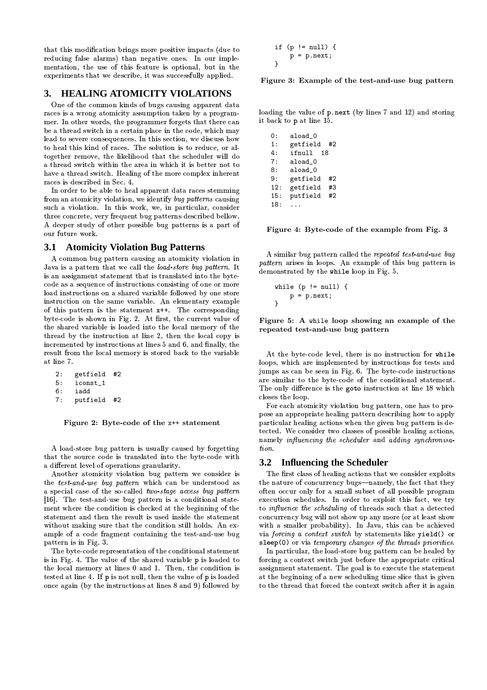- 
 - - 
 - % reducing false alarms) than negative ones. In our imple- 
 - - 
 - 
  $\alpha$  and  $\alpha$  and  $\alpha$  and  $\alpha$  and  $\alpha$  and  $\alpha$  and  $\alpha$  and  $\alpha$  and  $\alpha$  and  $\alpha$  and  $\alpha$  and  $\alpha$  and  $\alpha$  and  $\alpha$  and  $\alpha$  and  $\alpha$  and  $\alpha$  and  $\alpha$  and  $\alpha$  and  $\alpha$  and  $\alpha$  and  $\alpha$  and  $\alpha$  and  $\alpha$  and  $\alpha$ 

### **3. HEALING ATOMICITY VIOLATIONS**

 $\alpha$  , and the set of the set of the set of the set of the set of the set of the set of the set of the set of the set of the set of the set of the set of the set of the set of the set of the set of the set of the set of t 
 - -  - - 

  $\mathcal{L} = \mathcal{L} = \mathcal{L} = \mathcal{L} = \mathcal{L} = \mathcal{L} = \mathcal{L} = \mathcal{L} = \mathcal{L} = \mathcal{L} = \mathcal{L} = \mathcal{L} = \mathcal{L} = \mathcal{L} = \mathcal{L} = \mathcal{L} = \mathcal{L} = \mathcal{L} = \mathcal{L} = \mathcal{L} = \mathcal{L} = \mathcal{L} = \mathcal{L} = \mathcal{L} = \mathcal{L} = \mathcal{L} = \mathcal{L} = \mathcal{L} = \mathcal{L} = \mathcal{L} = \mathcal{L} = \mathcal$ entration and the contract of the contract of the contract of the contract of the contract of the contract of - - - " - -  - - -  
 - 
 - - en andere en de la provincia de la construcción de la construcción de la construcción de la construcción de la . The contract of the contract of the contract of the contract of the contract of the contract of the contract of the contract of the contract of the contract of the contract of the contract of the contract of the contrac 

 - 

 - - - = 

" 

 - -  $\mathbf{A}$  , and a notation of the set of the set of the set of the set of the set of the set of the set of the set of the set of the set of the set of the set of the set of the set of the set of the set of the set of the s  $\blacksquare$  . The set of the set of the set of the set of the set of the set of the set of the set of the set of the set of the set of the set of the set of the set of the set of the set of the set of the set of the set of the  $-$  -box  $-$  -box  $-$  -box  $-$  -box  $-$  -box  $-$  -box  $-$  -box  $-$  -box  $-$  -box  $-$  -box  $\mathbf{r} = \mathbf{r} + \mathbf{r}$  , and the set of the set of the set of the set of the set of the set of the set of the set of the set of the set of the set of the set of the set of the set of the set of the set of the set of the s 

### **3.1 Atomicity Violation Bug Patterns**

 $\;$  , and the set of the set of the set of the set of the set of the set of the set of the set of the set of the set of the set of the set of the set of the set of the set of the set of the set of the set of the set of t  $-$  . The substitution of the substitution of the substitution of the substitution of  $\mathcal{P}$ - - - - 

 - 
 - 
  $\overline{a}$  ,  $\overline{a}$  ,  $\overline{a}$  ,  $\overline{a}$  ,  $\overline{a}$  ,  $\overline{a}$  ,  $\overline{a}$  ,  $\overline{a}$  ,  $\overline{a}$  ,  $\overline{a}$  ,  $\overline{a}$  ,  $\overline{a}$  ,  $\overline{a}$  ,  $\overline{a}$  ,  $\overline{a}$  ,  $\overline{a}$  ,  $\overline{a}$  ,  $\overline{a}$  ,  $\overline{a}$  ,  $\overline{a}$  ,  $-$  . The set of the set of the set of the set of the set of the set of the set of the set of the set of the set of the set of the set of the set of the set of the set of the set of the set of the set of the set of the se . The contract of the contract of the contract of the contract of the contract of the contract of the contract of the contract of the contract of the contract of the contract of the contract of the contract of the contrac - -  ( ; - - 

 - 

  $\blacksquare$  . The contract of the contract of the contract of the contract of the contract of the contract of the contract of the contract of the contract of the contract of the contract of the contract of the contract of the  $-$  . The set of the set of the set of the set of the set of the set of the set of the set of the set of the set of the set of the set of the set of the set of the set of the set of the set of the set of the set of the se - 
 - 

 at line 7

```
2: getfield #2
5: iconst_1
6: iadd
```
7: putfield #2

Figure 2: Byte-code of the x++ statement

 $\mathbf{a}$  , and a set of the set of the set of the set of the set of the set of the set of the set of the set of the set of the set of the set of the set of the set of the set of the set of the set of the set of the set of  $\mathbf{r} = \mathbf{r} + \mathbf{r}$  , and the set of the set of the set of the set of the set of the set of the set of the set of the set of the set of the set of the set of the set of the set of the set of the set of the set of the s # 
 - 

 $\mathbf{r} = \mathbf{r} \cdot \mathbf{r}$  , where  $\mathbf{r} = \mathbf{r} \cdot \mathbf{r}$  , we have the set of  $\mathbf{r} = \mathbf{r} \cdot \mathbf{r}$  , we have the set of  $\mathbf{r} = \mathbf{r} \cdot \mathbf{r}$  $\mathcal{L}^{\mathcal{L}}$  , we have the set of the set of the set of the set of the set of the set of the set of the set of the set of the set of the set of the set of the set of the set of the set of the set of the set of the set  $\bullet$  . The set of the set of the set of the set of the set of the set of the set of the set of the set of the set of the set of the set of the set of the set of the set of the set of the set of the set of the set of the s -&E : - 
 - 
 - 
 records and the contract of the contract of the contract of the contract of the contract of the contract of the  $-$  . The contract of the contract of the contract of the contract of the contract of the contract of the contract of the contract of the contract of the contract of the contract of the contract of the contract of the con . The second contract is a set of the second contract of the second contract of the second contract of the second contract of the second contract of the second contract of the second contract of the second contract of the -defined by the set of the set of the set of the set of the set of the set of the set of the set of the set of the set of the set of the set of the set of the set of the set of the set of the set of the set of the set of 
 - )

 $-$  . The set of the set of the set of the set of the set of the set of the set of the set of the set of the set of the set of the set of the set of the set of the set of the set of the set of the set of the set of the se - - 

 once again (by the instructions at lines 8 and 9) followed by  $\qquad\hbox{ to }$  to t

if  $(p == null)$  {  $p = p.next;$ }

Figure 3: Example of the test-and-use bug pattern

 $\rm{loading\,\,the\,\,value\,\,of\,\,p.next}$  (by lines 7 and 12) and storing it back to p at line 15.

 $15.$ 0: aload\_0 1: getfield #2 4: ifnull 18 7: aload\_0 8: aload\_0 9: getfield #2 12: getfield #3 putfield #2 18: ...

Figure 4: Byte-code of the example from Fig. 3

 $\mathbf{r}$  , and a result of the set of the set of the set of the set of the set of the set of the set of the set of the set of the set of the set of the set of the set of the set of the set of the set of the set of the set results to the contract of the contract of the contract of the contract of the contract of the contract of the

```
while (p := null) {
    p = p.next;
}
```
Figure 5: A while loop showing an example of the repeated test-and-use bug pattern

 $\mathbf{r} = \mathbf{r} \cdot \mathbf{r}$  , and the set of the set of the set of the set of the set of the set of the set of the set of the set of the set of the set of the set of the set of the set of the set of the set of the set of the  $\blacksquare$  . The contract of the contract of the contract of the contract of the contract of the contract of the contract of the contract of the contract of the contract of the contract of the contract of the contract of the - - - E - -- Andreas and the second contract of the second contract of the second contract of the second contract of the s # - - &C   $-$  -box  $-$  -box  $-$  -box  $-$  -box  $-$  -box  $-$  -box  $-$  -box  $-$  -box  $-$  -box  $-$ 

 

 - VW YU RW YU RW YU RAMA A SIYA NA MARA A SIYA NA MARA A SIYA NA MARA A SIYA NA MARA A SIYA NA MARA A SIYA NA MA  $tion.$ 

### **3.2 Influencing the Scheduler**

 $\bullet$  . The contract of the contract of the contract of the contract of the contract of the contract of the contract of the contract of the contract of the contract of the contract of the contract of the contract of the co  $-$  . The contract of the contract of the contract of the contract of the contract of the contract of the contract of the contract of the contract of the contract of the contract of the contract of the contract of the con <sup>M</sup> <sup>L</sup>QY VW X <sup>P</sup> YLW N R <sup>N</sup> <sup>K</sup>O V N YU - 
 -   $-$  . The state of the state of the state of the state of the state of the state of the state of the state of the state of the state of the state of the state of the state of the state of the state of the state of the sta  $\overline{a}$  , and  $\overline{a}$  , and  $\overline{a}$  , and  $\overline{a}$  , and  $\overline{a}$  , and  $\overline{a}$  , and  $\overline{a}$  , and  $\overline{a}$  , and  $\overline{a}$  , and  $\overline{a}$  , and  $\overline{a}$  , and  $\overline{a}$  , and  $\overline{a}$  , and  $\overline{a}$  , and  $\overline{a}$  , . A RW YR NU R A RW YR NH YR NH YR NH YR NH YR NH YR NH YR YR NH YR YR NH YR YR YR YR YR YR YR YR YR YR YR YR  $\blacksquare$  . The contract of the contract of the contract of the contract of the contract of the contract of the contract of the contract of the contract of the contract of the contract of the contract of the contract of the with a smaller probability). In Java, this can be achieved  $sleep(0)$  or via temporary changes of the threads priorities.

> - - - 
> 
>  - - 
>   $\blacksquare$  . The set of the set of the set of the set of the set of the set of the set of the set of the set of the set of the set of the set of the set of the set of the set of the set of the set of the set of the set of the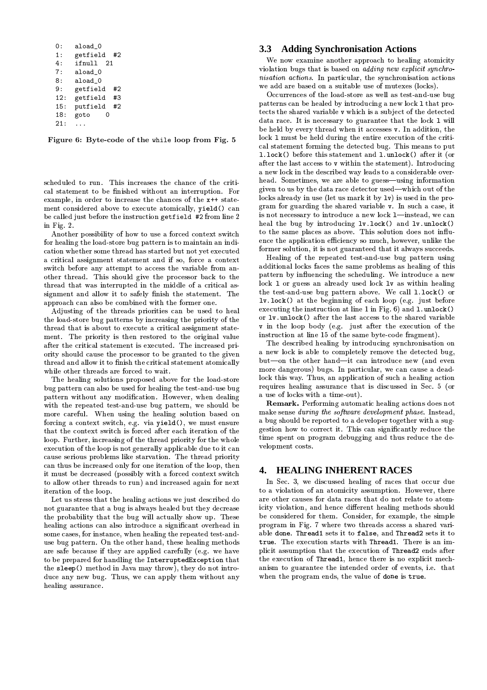| ი:  | aload 0      |    |
|-----|--------------|----|
| 1:  | getfield     | #2 |
| 4:  | ifnull<br>21 |    |
| 7:  | aload 0      |    |
| 8:  | aload 0      |    |
| 9:  | getfield     | #2 |
| 12: | getfield     | #3 |
| 15: | putfield     | #2 |
| 18: | goto<br>ი    |    |
| 21: |              |    |

Figure 6: Byte-code of the while loop from Fig. 5

scheduled to run. This increases the chance of the critical statement to be finished without an interruption. For example, in order to increase the chances of the x++ statement considered above to execute atomically, yield() can be called just before the instruction getfield #2 from line 2 in Fig. 2.

Another possibility of how to use a forced context switch for healing the load-store bug pattern is to maintain an indication whether some thread has started but not yet executed a critical assignment statement and if so, force a context switch before any attempt to access the variable from another thread. This should give the processor back to the thread that was interrupted in the middle of a critical assignment and allow it to safely finish the statement. The approach can also be combined with the former one.

Adjusting of the threads priorities can be used to heal the load-store bug patterns by increasing the priority of the thread that is about to execute a critical assignment statement. The priority is then restored to the original value after the critical statement is executed. The increased priority should cause the processor to be granted to the given thread and allow it to finish the critical statement atomically while other threads are forced to wait.

The healing solutions proposed above for the load-store bug pattern can also be used for healing the test-and-use bug pattern without any modification. However, when dealing with the repeated test-and-use bug pattern, we should be more careful. When using the healing solution based on forcing a context switch, e.g. via yield(), we must ensure that the context switch is forced after each iteration of the loop. Further, increasing of the thread priority for the whole execution of the loop is not generally applicable due to it can cause serious problems like starvation. The thread priority can thus be increased only for one iteration of the loop, then it must be decreased (possibly with a forced context switch to allow other threads to run) and increased again for next iteration of the loop.

Let us stress that the healing actions we just described do not guarantee that a bug is always healed but they decrease the probability that the bug will actually show up. These healing actions can also introduce a significant overhead in some cases, for instance, when healing the repeated test-anduse bug pattern. On the other hand, these healing methods are safe because if they are applied carefully (e.g. we have to be prepared for handling the InterruptedException that the sleep() method in Java may throw), they do not introduce any new bug. Thus, we can apply them without any healing assurance.

### 3.3 Adding Synchronisation Actions

We now examine another approach to healing atomicity violation bugs that is based on *adding new explicit synchro*nisation actions. In particular, the synchronisation actions we add are based on a suitable use of mutexes (locks).

Occurrences of the load-store as well as test-and-use bug patterns can be healed by introducing a new lock 1 that protects the shared variable v which is a subject of the detected data race. It is necessary to guarantee that the lock 1 will be held by every thread when it accesses v. In addition, the lock 1 must be held during the entire execution of the critical statement forming the detected bug. This means to put 1.1ock() before this statement and 1.unlock() after it (or after the last access to v within the statement). Introducing a new lock in the described way leads to a considerable overhead. Sometimes, we are able to guess—using information given to us by the data race detector used-which out of the locks already in use (let us mark it by  $1v$ ) is used in the program for guarding the shared variable v. In such a case, it is not necessary to introduce a new lock 1—instead, we can heal the bug by introducing 1v. lock() and 1v. unlock() to the same places as above. This solution does not influence the application efficiency so much, however, unlike the former solution, it is not guaranteed that it always succeeds.

Healing of the repeated test-and-use bug pattern using additional locks faces the same problems as healing of this pattern by influencing the scheduling. We introduce a new lock 1 or guess an already used lock  $1v$  as within healing the test-and-use bug pattern above. We call 1.1ock() or 1v.1ock() at the beginning of each loop (e.g. just before executing the instruction at line 1 in Fig. 6) and 1.unlock() or 1v. unlock() after the last access to the shared variable v in the loop body (e.g. just after the execution of the instruction at line 15 of the same byte-code fragment).

The described healing by introducing synchronisation on a new lock is able to completely remove the detected bug, but-on the other hand-it can introduce new (and even more dangerous) bugs. In particular, we can cause a deadlock this way. Thus, an application of such a healing action requires healing assurance that is discussed in Sec. 5 (or a use of locks with a time-out).

Remark. Performing automatic healing actions does not make sense during the software development phase. Instead, a bug should be reported to a developer together with a suggestion how to correct it. This can significantly reduce the time spent on program debugging and thus reduce the development costs.

#### **HEALING INHERENT RACES**  $\mathbf{4}$ .

In Sec. 3, we discussed healing of races that occur due to a violation of an atomicity assumption. However, there are other causes for data races that do not relate to atomicity violation, and hence different healing methods should be considered for them. Consider, for example, the simple program in Fig. 7 where two threads access a shared variable done. Thread1 sets it to false, and Thread2 sets it to true. The execution starts with Thread1. There is an implicit assumption that the execution of Thread2 ends after the execution of Thread1, hence there is no explicit mechanism to guarantee the intended order of events, i.e. that when the program ends, the value of done is true.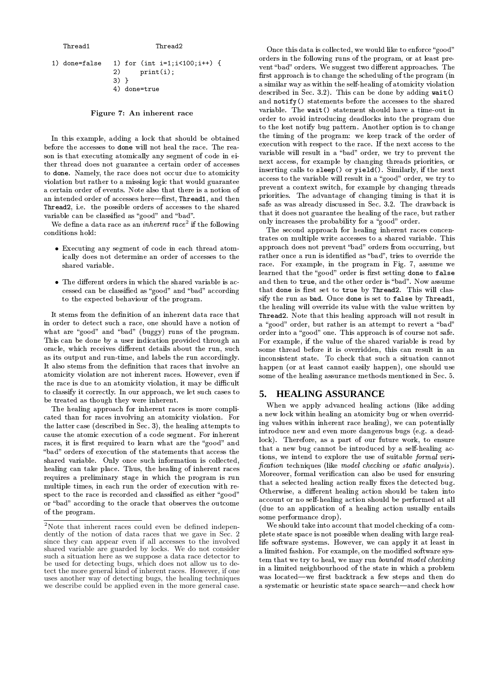Thread1 Thread2

```
1) done=false 1) for (int i=1;i<100;i++) {
              2) print(i);3) }
              4) done=true
```
Figure 7: An inherent race

" - 

 - 
 - - -   

 - A SERICIO DE LA CALIFATRITA DE LA CALIFATRITA DE LA CALIFATRITA DE LA CALIFATRITA DE LA CALIFATRITA DE LA CA  $\blacksquare$  . The set of the set of the set of the set of the set of the set of the set of the set of the set of the set of the set of the set of the set of the set of the set of the set of the set of the set of the set of the  
 - 

 - - 
  

 - - 
 - - - - > -   $-$  -  $-$  -  $-$  -  $-$  -  $-$  -  $-$  -  $-$  -  $-$  -  $-$  -  $-$  -  $-$  -  $-$  -  $-$  -  $-$  -  $-$  -  $-$  -  $-$  -  $-$  -  $-$  -  $-$  -  $-$  -  $-$  -  $-$  -  $-$  -  $-$  -  $-$  -  $-$  -  $-$  -  $-$  -  $-$  -  $-$  -  $-$  -  $-$  -  $-$  -  $-$  -  $-$  -  $-$  -

 - - -\* + \* 
 +

 $W_1$ ,  $1$ ,  $C_{\text{max}}$ ,  $1$ ,  $1$ ,  $C_{\text{max}}$ ,  $C_{\text{max}}$ ,  $C_{\text{max}}$ ,  $C_{\text{max}}$ ,  $C_{\text{max}}$ ,  $C_{\text{max}}$ ,  $C_{\text{max}}$ ,  $C_{\text{max}}$ ,  $C_{\text{max}}$ ,  $C_{\text{max}}$ ,  $C_{\text{max}}$ ,  $C_{\text{max}}$ ,  $C_{\text{max}}$ ,  $C_{\text{max}}$ ,  $C_{\text{max}}$ ,  $C_{\text{max}}$ ,  $C_{\text{max}}$ , - \$

- Executing any segment of code in each thread atom- approach-. The set of the set of the set of the set of the set of the set of the set of the set of the set of the set of the set of the set of the set of the set of the set of the set of the set of the set of the set of the set of the contract of the contract of the contract of the contract of the contract of the contract of the contract of
- The different orders in which the shared variable is ac- - - 
 - - -\* + \* 
 +

" - - 

 . The set of the set of the set of the set of the set of the set of the set of the set of the set of the set of the set of the set of the set of the set of the set of the set of the set of the set of the set of the set of what are "good" and "bad" (buggy) runs of the program.  $\qquad \qquad$  order in 
  - # 
 - -  $-$  . The contract of the contract of the contract of the contract of the contract of the contract of the contract of the contract of the contract of the contract of the contract of the contract of the contract of the con " - - - 

 - 

 - 
  $\blacksquare$  . The set of the set of the set of the set of the set of the set of the set of the set of the set of the set of the set of the set of the set of the set of the set of the set of the set of the set of the set of the en andere en de statistiske beste om de statistiske beste om de statistiske beste om de statistiske beste om d

 

 - - 
the latter case (described in Sec. 3), the healing attempts to  $\frac{mg}{m}$ -  $\blacksquare$  . The contract of the contract of the contract of the contract of the contract of the contract of the contract of the contract of the contract of the contract of the contract of the contract of the contract of th  $\sim$  . The set of the set of the set of the set of the set of the set of the set of the set of the set of the set of the set of the set of the set of the set of the set of the set of the set of the set of the set of the s \* 
 + - - 
 - 
 - -- 

 G - 
 - 

 - 

 and the contract of the contract of the contract of the contract of the contract of the contract of the contract of the contract of the contract of the contract of the contract of the contract of the contract of the contra - 
  - 
 - 
 - - - \* + of the program.

recover that access for example by changing threads priorities or  $\mathcal{L}$  . The drawback property discussed in Sec. 3.2. The drawback is G - 
 -   \* +  $\blacksquare$  . The contract of the contract of the contract of the contract of the contract of the contract of the contract of the contract of the contract of the contract of the contract of the contract of the contract of the  $\mu$  , and the state of  $\mu$  and  $\mu$  and  $\mu$  and  $\mu$  and  $\mu$  and  $\mu$  and  $\mu$  and  $\mu$  and  $\mu$  and  $\mu$  and  $\mu$  and  $\mu$  and  $\mu$  and  $\mu$  and  $\mu$  and  $\mu$  and  $\mu$  and  $\mu$  and  $\mu$  and  $\mu$  and  $\mu$  and  $\mu$  and  $\overline{\phantom{a}}$  , and the set of the set of the set of the set of the set of the set of the set of the set of the set of the set of the set of the set of the set of the set of the set of the set of the set of the set of the s  $\blacksquare$  . The state of the state of the state of the state of the state of the state of the state of the state of the state of the state of the state of the state of the state of the state of the state of the state of the described in Sec. 3.2). This can be done by adding  $\texttt{wait}()$   - 
 - - - - - 
 . The set of the set of the set of the set of the set of the set of the set of the set of the set of the set of the set of the set of the set of the set of the set of the set of the set of the set of the set of the set of  $\blacksquare$  . The contract of the contract of the contract of the contract of the contract of the contract of the contract of the contract of the contract of the contract of the contract of the contract of the contract of the the timing of the program: we keep track of the order of - A set of the set of the set of the set of the set of the set of the set of the set of the set of the set of the set of the set of the set of the set of the set of the set of the set of the set of the set of the set of th 
  - \* 
 +  - 그 대표 - 그 대표 - 그 대표 - 그 대표 - 그 대표 - 그 대표 - 그 대표 - 그 대표 - 그 대표 - 그 대표 - 그 대표 - 그 대표 - 그 대표 - 그 대표 - 그 대표 - 그 대  $\sim$  . The state of the state of the state of the state of the state of the state of the state of the state of the state of the state of the state of the state of the state of the state of the state of the state of the st  $\blacksquare$  . The contract of the contract of the contract of the contract of the contract of the contract of the contract of the contract of the contract of the contract of the contract of the contract of the contract of the - 

 - 
 - 
 - 

 - - 
 \* +

 $-1$  ,  $-1$  ,  $-1$  ,  $-1$  ,  $-1$  ,  $-1$  ,  $-1$  ,  $-1$  ,  $-1$  ,  $-1$  ,  $-1$  ,  $-1$  ,  $-1$  ,  $-1$  ,  $-1$  ,  $-1$  ,  $-1$  ,  $-1$  ,  $-1$  ,  $-1$  ,  $-1$  ,  $-1$  ,  $-1$  ,  $-1$  ,  $-1$  ,  $-1$  ,  $-1$  ,  $-1$  ,  $-1$  ,  $-1$  ,  $-1$  ,  $-1$  $\mathbf{r} = \mathbf{r} + \mathbf{r} + \mathbf{r} + \mathbf{r} + \mathbf{r} + \mathbf{r} + \mathbf{r} + \mathbf{r} + \mathbf{r} + \mathbf{r} + \mathbf{r} + \mathbf{r} + \mathbf{r} + \mathbf{r} + \mathbf{r} + \mathbf{r} + \mathbf{r} + \mathbf{r} + \mathbf{r} + \mathbf{r} + \mathbf{r} + \mathbf{r} + \mathbf{r} + \mathbf{r} + \mathbf{r} + \mathbf{r} + \mathbf{r} + \mathbf{r} + \mathbf{r} + \mathbf{r} + \mathbf$  $\mathbf{1}$  . The state of the state of the state of the state of the state of the state of the state of the state of the state of the state of the state of the state of the state of the state of the state of the state of th  $-$  . The set of the set of the set of the set of the set of the set of the set of the set of the set of the set of the set of the set of the set of the set of the set of the set of the set of the set of the set of the se  $\blacksquare$  . The contract of the contract of the contract of the contract of the contract of the contract of the contract of the contract of the contract of the contract of the contract of the contract of the contract of the 
<sup>D</sup> - -   $\mathbf{1}$  .  $\mathbf{1}$  ,  $\mathbf{1}$  ,  $\mathbf{1}$  ,  $\mathbf{1}$  ,  $\mathbf{1}$  ,  $\mathbf{1}$  ,  $\mathbf{1}$  ,  $\mathbf{1}$  ,  $\mathbf{1}$  ,  $\mathbf{1}$  ,  $\mathbf{1}$  ,  $\mathbf{1}$  ,  $\mathbf{1}$  ,  $\mathbf{1}$  ,  $\mathbf{1}$  ,  $\mathbf{1}$  ,  $\mathbf{1}$  ,  $\mathbf{1}$  ,  $\mathbf{1}$  ,  $\mathbf{a} \cdot \mathbf{b} = \mathbf{a} \cdot \mathbf{b} = \mathbf{b} \cdot \mathbf{c} + \mathbf{b} \cdot \mathbf{c} + \mathbf{b} \cdot \mathbf{c} + \mathbf{b} \cdot \mathbf{c} + \mathbf{c} \cdot \mathbf{c} + \mathbf{c} \cdot \mathbf{c} + \mathbf{c} \cdot \mathbf{c} + \mathbf{c} \cdot \mathbf{c} + \mathbf{c} \cdot \mathbf{c} + \mathbf{c} \cdot \mathbf{c} + \mathbf{c} \cdot \mathbf{c} + \mathbf{c} \cdot \mathbf{c} + \mathbf{c} \cdot \math$  $\mathbb{R}^n$  and  $\mathbb{R}^n$  are the contracted in the contracted in the contracted in the contracted in the contracted in the contracted in the contracted in the contracted in the contracted in the contracted in the contrac  $\mathcal{L} = \mathcal{L} = \mathcal{L} = \mathcal{L} = \mathcal{L} = \mathcal{L} = \mathcal{L} = \mathcal{L} = \mathcal{L} = \mathcal{L} = \mathcal{L} = \mathcal{L} = \mathcal{L} = \mathcal{L} = \mathcal{L} = \mathcal{L} = \mathcal{L} = \mathcal{L} = \mathcal{L} = \mathcal{L} = \mathcal{L} = \mathcal{L} = \mathcal{L} = \mathcal{L} = \mathcal{L} = \mathcal{L} = \mathcal{L} = \mathcal{L} = \mathcal{L} = \mathcal{L} = \mathcal{L} = \mathcal$  $\bm{u} = \bm{u} + \bm{u}$  , and the set of the set of the set of the set of the set of the set of the set of the set of the set of the set of the set of the set of the set of the set of the set of the set of the set of the set \* + - 
 - - - 

 - 

 - 
 - - - 

 - 

 happen (or at least cannot easily happen), one should use - 
 - - 
 - = ,

## **5. HEALING ASSURANCE**

 $\sum_{t=0}^{10}$  ing values within inherent race healing), we can potentially 
fication techniques (like model checking or static analysis).  $\tilde{\phantom{a}}$  Moreover formal verification can also be used for ensuring  $\frac{1}{2}$  account or no self-healing action should be performed at all . The set of the set of the set of the set of the set of the set of the set of the set of the set of the set of the set of the set of the set of the set of the set of the set of the set of the set of the set of the set of  $\sim$  . The contract of the contract of the contract of the contract of the contract of the contract of the contract of the contract of the contract of the contract of the contract of the contract of the contract of the co  $_{\rm lock}$ ). Therefore, as a part of our future work, to ensure  $\alpha$  . The set of the set of the set of the set of the set of the set of the set of the set of the set of the set of the set of the set of the set of the set of the set of the set of the set of the set of the set of the s 
 - 

 - G  - # 
 - 
  $\mathcal{L} = \mathcal{L} = \mathcal{L} = \mathcal{L} = \mathcal{L} = \mathcal{L} = \mathcal{L} = \mathcal{L} = \mathcal{L} = \mathcal{L} = \mathcal{L} = \mathcal{L} = \mathcal{L} = \mathcal{L} = \mathcal{L} = \mathcal{L} = \mathcal{L} = \mathcal{L} = \mathcal{L} = \mathcal{L} = \mathcal{L} = \mathcal{L} = \mathcal{L} = \mathcal{L} = \mathcal{L} = \mathcal{L} = \mathcal{L} = \mathcal{L} = \mathcal{L} = \mathcal{L} = \mathcal{L} = \mathcal$  ${\rm some\,\, performance\,\, drop}).$ 

> ! - 
> 
>   $-$  . The set of the set of the set of the set of the set of the set of the set of the set of the set of the set of the set of the set of the set of the set of the set of the set of the set of the set of the set of the se  $\blacksquare$  . The contract of the contract of the contract of the contract of the contract of the contract of the contract of the contract of the contract of the contract of the contract of the contract of the contract of the  $\blacksquare$  . The set of the set of the set of the set of the set of the set of the set of the set of the set of the set of the set of the set of the set of the set of the set of the set of the set of the set of the set of the 
>   
>   L[ W R <sup>L</sup> R S YU RY VWX - - 
>  - - 
>  - 
>  - 
>  >

<sup>&</sup>lt;sup>2</sup>Note that inherent races could even be defined independently of the notion of data races that we gave in Sec. 2 since they can appear even if all accesses to the involved shared variable are guarded by locks. We do not consider such a situation here as we suppose a data race detector to be used for detecting bugs, which does not allow us to detect the more general kind of inherent races. However, if one uses another way of detecting bugs, the healing techniques we describe could be applied even in the more general case.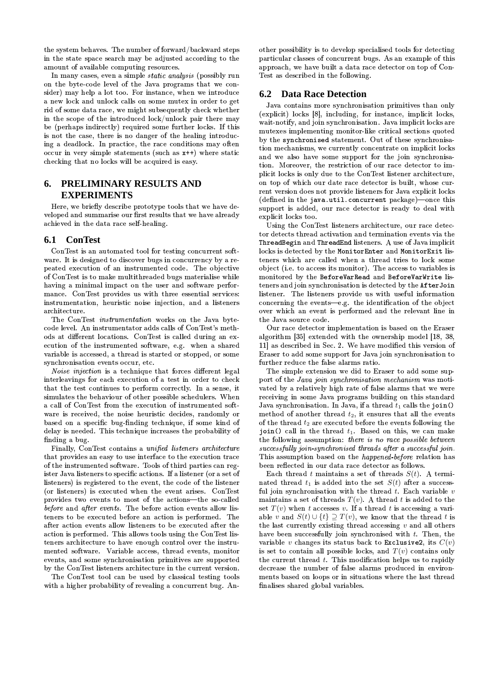the system behaves. The number of forward/backward steps in the state space search may be adjusted according to the amount of available computing resources.

In many cases, even a simple *static analysis* (possibly run on the byte-code level of the Java programs that we consider) may help a lot too. For instance, when we introduce a new lock and unlock calls on some mutex in order to get rid of some data race, we might subsequently check whether in the scope of the introduced lock/unlock pair there may be (perhaps indirectly) required some further locks. If this is not the case, there is no danger of the healing introducing a deadlock. In practice, the race conditions may often occur in very simple statements (such as  $x^{++}$ ) where static checking that no locks will be acquired is easy.

### PRELIMINARY RESULTS AND 6. **EXPERIMENTS**

Here, we briefly describe prototype tools that we have developed and summarise our first results that we have already achieved in the data race self-healing.

#### $6.1$ **ConTest**

ConTest is an automated tool for testing concurrent software. It is designed to discover bugs in concurrency by a repeated execution of an instrumented code. The objective of ConTest is to make multithreaded bugs materialise while having a minimal impact on the user and software performance. ConTest provides us with three essential services: instrumentation, heuristic noise injection, and a listeners architecture

The ConTest *instrumentation* works on the Java bytecode level. An instrumentator adds calls of ConTest's methods at different locations. ConTest is called during an execution of the instrumented software, e.g. when a shared variable is accessed, a thread is started or stopped, or some synchronisation events occur, etc.

Noise injection is a technique that forces different legal interleavings for each execution of a test in order to check that the test continues to perform correctly. In a sense, it simulates the behaviour of other possible schedulers. When a call of ConTest from the execution of instrumented software is received, the noise heuristic decides, randomly or based on a specific bug-finding technique, if some kind of delay is needed. This technique increases the probability of finding a bug.

Finally, ConTest contains a unified listeners architecture that provides an easy to use interface to the execution trace of the instrumented software. Tools of third parties can register Java listeners to specific actions. If a listener (or a set of listeners) is registered to the event, the code of the listener (or listeners) is executed when the event arises. ConTest provides two events to most of the actions--- the so-called before and *after events*. The before action events allow listeners to be executed before an action is performed. The after action events allow listeners to be executed after the action is performed. This allows tools using the ConTest listeners architecture to have enough control over the instrumented software. Variable access, thread events, monitor events, and some synchronisation primitives are supported by the ConTest listeners architecture in the current version.

The ConTest tool can be used by classical testing tools with a higher probability of revealing a concurrent bug. An-

other possibility is to develop specialised tools for detecting particular classes of concurrent bugs. As an example of this approach, we have built a data race detector on top of Con-Test as described in the following.

### **6.2 Data Race Detection**

Java contains more synchronisation primitives than only (explicit) locks [8], including, for instance, implicit locks, wait-notify, and join synchronisation. Java implicit locks are mutexes implementing monitor-like critical sections quoted by the synchronised statement. Out of these synchronisation mechanisms, we currently concentrate on implicit locks and we also have some support for the join synchronisation. Moreover, the restriction of our race detector to implicit locks is only due to the ConTest listener architecture, on top of which our date race detector is built, whose current version does not provide listeners for Java explicit locks (defined in the java.util.concurrent package)-once this support is added, our race detector is ready to deal with explicit locks too.

Using the ConTest listeners architecture, our race detector detects thread activation and termination events via the ThreadBegin and ThreadEnd listeners. A use of Java implicit locks is detected by the MonitorEnter and MonitorExit listeners which are called when a thread tries to lock some object (i.e. to access its monitor). The access to variables is monitored by the BeforeVarRead and BeforeVarWrite listeners and join synchronisation is detected by the After Join listener. The listeners provide us with useful information concerning the events-e.g. the identification of the object over which an event is performed and the relevant line in the Java source code.

Our race detector implementation is based on the Eraser algorithm [35] extended with the ownership model [18, 38, 11] as described in Sec. 2. We have modified this version of Eraser to add some support for Java join synchronisation to further reduce the false alarms ratio.

The simple extension we did to Eraser to add some support of the Java join synchronisation mechanism was motivated by a relatively high rate of false alarms that we were receiving in some Java programs building on this standard Java synchronisation. In Java, if a thread  $t_1$  calls the join() method of another thread  $t_2$ , it ensures that all the events of the thread  $t_2$  are executed before the events following the join() call in the thread  $t_1$ . Based on this, we can make the following assumption: there is no race possible between successfully join-synchronised threads after a successful join. This assumption based on the *happened-before* relation has been reflected in our data race detector as follows.

Each thread t maintains a set of threads  $S(t)$ . A terminated thread  $t_1$  is added into the set  $S(t)$  after a successful join synchronisation with the thread  $t$ . Each variable  $v$ maintains a set of threads  $T(v)$ . A thread t is added to the set  $T(v)$  when t accesses v. If a thread t is accessing a variable v and  $S(t) \cup \{t\} \supseteq T(v)$ , we know that the thread t is the last currently existing thread accessing  $v$  and all others have been successfully join synchronised with  $t$ . Then, the variable v changes its status back to Exclusive2, its  $C(v)$ is set to contain all possible locks, and  $T(v)$  contains only the current thread  $t$ . This modification helps us to rapidly decrease the number of false alarms produced in environments based on loops or in situations where the last thread finalises shared global variables.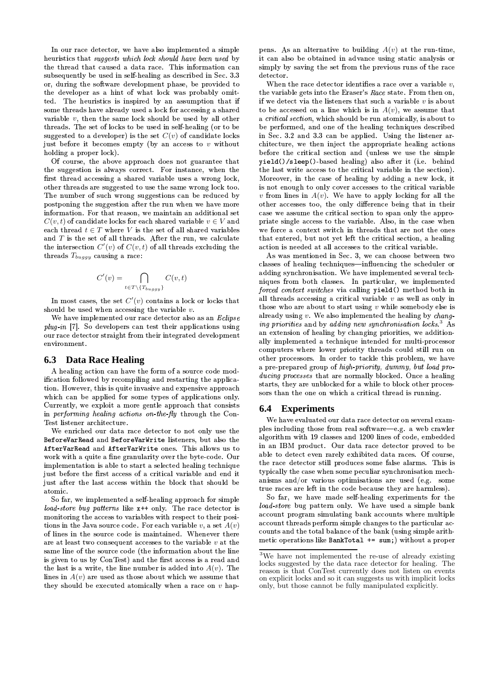$\blacksquare$  . The contract of the contract of the contract of the contract of the contract of the contract of the contract of the contract of the contract of the contract of the contract of the contract of the contract of the  $\mathcal{L} = \mathcal{L} \times \mathcal{L}$  . The contract of the contract of the contract of the contract of the contract of the contract of the contract of the contract of the contract of the contract of the contract of the contract of the  $-$  . The contract of the contract of the contract of the contract of the contract of the contract of the contract of the contract of the contract of the contract of the contract of the contract of the contract of the con - - - - 
 - - = ) ) - - - - - - 
 - 
 - 
 - - - variable  $v$ , then the same lock should be used by all other a critic 
 - - - - - 
 % suggested to a developer) is the set  $C(v)$  of candidate locks in Sec. just before it becomes empty (by an access to  $v$  without chitec holding a proper lock).

 $\alpha$  , and the set of the set of the set of the set of the set of the set of the set of the set of the set of the set of the set of the set of the set of the set of the set of the set of the set of the set of the set of t  $-$  . The set of the set of the set of the set of the set of the set of the set of the set of the set of the set of the set of the set of the set of the set of the set of the set of the set of the set of the set of the se - 
 - - - 

 - -   $-$  . The set of the set of the set of the set of the set of the set of the set of the set of the set of the set of the set of the set of the set of the set of the set of the set of the set of the set of the set of the se -  - - -  $\overline{\phantom{a}}$  . The contract of the contract of the contract of the contract of the contract of the contract of the contract of the contract of the contract of the contract of the contract of the contract of the contract of 

 -  

 - $C(v, t)$  of candidate locks for each shared variable  $v \in V$  and priate  $\text{each thread } t \in T \text{ where } V \text{ is the set of all shared variables } \qquad \text{we for }$ and  $T$  is the set of all threads. After the run, we calculate ti the intersection  $C'(v)$  of  $C(v,t)$  of all threads excluding the action threads  $T_{buggy}$  causing a race:

$$
C'(v) = \bigcap_{t \in T \setminus \{T_{buggy}\}} C(v, t)
$$

In most cases, the set  $C'(v)$  contains a lock or locks that all should be used when accessing the variable  $v$ .

! 

 - - - Y SV <sup>K</sup><sup>R</sup> S[ X T VW -D: = - - 
 - 
environment

### **6.3 Data Race Healing**

 $\blacksquare$  . The contract of the contract of the contract of the contract of the contract of the contract of the contract of the contract of the contract of the contract of the contract of the contract of the contract of the 
  - 

  - - - - 
  - - 
 -RQM <sup>L</sup>Q VW X U RP SVW X P Y N VLW <sup>K</sup> <sup>L</sup>W TNU R T 

! 

 -    - - - $\mathbf{r} = \mathbf{r} + \mathbf{r}$  , which is a set of the contract of the contract of the contract of the contract of the contract of the contract of the contract of the contract of the contract of the contract of the contract of th   
 G 
 - - 
 - 
 - - - - 

 - - - -  
 atomic

= 
  - 

  $load\ store\ bug\ patterns\ like\ x++\ only.\ The\ race\ detector\ is$  $\blacksquare$  . The set of the set of the set of the set of the set of the set of the set of the set of the set of the set of the set of the set of the set of the set of the set of the set of the set of the set of the set of the tions in the Java source code. For each variable v, a set  $A(v)$  and  $\alpha$  , and a set of the set of the set of the set of the set of the set of the set of the set of the set of the set of the set of the set of the set of the set of the set of the set of the set of the set of the set of the are at least two consequent accesses to the variable  $v$  at the  $v$  metic  $\epsilon$ - 
 - % 
 is given to us by ConTest) and the first access is a read and  $\frac{W_{\text{C}}}{100\text{kg}}$ the last is a write, the line number is added into  $A(v)$ . The reason lines in  $A(v)$  are used as those about which we assume that  $\qquad \text{on exp}$ they should be executed atomically when a race on  $v$  hap- only, b

imple pens. As an alternative to building  $A(v)$  at the run-time, . The contract of the contract of the contract of the contract of the contract of the contract of the contract of the contract of the contract of the contract of the contract of the contract of the contract of the contrac - - 
 - - 
 detector.

hared to be accessed on a line which is in  $A(v)$ , we assume that . A set of  $z = 1$  , and the set of  $\mathcal{M}$  , and  $\mathcal{M}$ and the contract of the contract of the contract of the contract of the contract of the contract of the contract of  $\blacksquare$  . The contract of the contract of the contract of the contract of the contract of the contract of the contract of the contract of the contract of the contract of the contract of the contract of the contract of the  $\alpha$  , and the set of the set of the set of the set of the set of the set of the set of the set of the set of the set of the set of the set of the set of the set of the set of the set of the set of the set of the set of t . The contract of the contract of the contract of the contract of the contract of the contract of the contract of the contract of the contract of the contract of the contract of the contract of the contract of the contrac When the race detector identifies a race over a variable  $v,$ the variable gets into the Eraser's *Race* state. From then on, if we detect via the listeners that such a variable  $v$  is about  $\mathcal{N}=\mathcal{N}=\mathcal{N}=\mathcal{N}=\mathcal{N}=\mathcal{N}=\mathcal{N}=\mathcal{N}=\mathcal{N}=\mathcal{N}=\mathcal{N}=\mathcal{N}=\mathcal{N}=\mathcal{N}=\mathcal{N}=\mathcal{N}=\mathcal{N}=\mathcal{N}=\mathcal{N}=\mathcal{N}=\mathcal{N}=\mathcal{N}=\mathcal{N}=\mathcal{N}=\mathcal{N}=\mathcal{N}=\mathcal{N}=\mathcal{N}=\mathcal{N}=\mathcal{N}=\mathcal{N}=\mathcal{N}=\mathcal{N}=\mathcal{N}=\mathcal{N}=\mathcal{N}=\mathcal{$ . The contract of the contract of the contract of the contract of the contract of the contract of the contract of the contract of the contract of the contract of the contract of the contract of the contract of the contrac yield()/sleep()-based healing) also after it (i.e. behind the last write access to the critical variable in the section).  $\mathbf{B} = \mathbf{B} \mathbf{B} + \mathbf{B} \mathbf{B} + \mathbf{B} \mathbf{B} + \mathbf{B} \mathbf{B} + \mathbf{B} \mathbf{B} + \mathbf{B} \mathbf{B} + \mathbf{B} \mathbf{B} + \mathbf{B} \mathbf{B} + \mathbf{B} \mathbf{B} + \mathbf{B} \mathbf{B} + \mathbf{B} \mathbf{B} + \mathbf{B} \mathbf{B} + \mathbf{B} \mathbf{B} + \mathbf{B} \mathbf{B} + \mathbf{B} \mathbf{B} + \mathbf{B} \mathbf{B} + \mathbf{B$  $\blacksquare$  . The contract of the contract of the contract of the contract of the contract of the contract of the contract of the contract of the contract of the contract of the contract of the contract of the contract of the v from lines in  $A(v)$ . We have to apply locking for all the  $-$  -box  $-$  -box  $-$  -box  $-$  -box  $-$  -box  $-$  -box  $-$  -box  $-$  -box  $-$  -box  $\blacksquare$  . The set of the set of the set of the set of the set of the set of the set of the set of the set of the set of the set of the set of the set of the set of the set of the set of the set of the set of the set of the

 $_{\text{that}}$  all threads accessing a critical variable v as well as only in  $\omega_{\text{PSE}}$  and proposition and by adding now eventuation looks<sup>3</sup>.  $\frac{\cos \pi}{\cos \pi}$  sors than the one on which a critical thread is running  $\mathbf{r}$  , and  $\mathbf{r}$  is a set of the set of the set of the set of the set of the set of the set of the set of the set of the set of the set of the set of the set of the set of the set of the set of the set of the set o <sup>M</sup> <sup>L</sup>QYR YLW N R <sup>N</sup> <sup>K</sup>O VN YU RK 
  those who are about to start using  $v$  while somebody else is already using  $v$ . We also implemented the healing by  $\it{change}$ -definition of the contract of the contract of the contract of the contract of the contract of the contract of the contract of the contract of the contract of the contract of the contract of the contract of the contract o - -  $-$  . The set of the set of the set of the set of the set of the set of the set of the set of the set of the set of the set of the set of the set of the set of the set of the set of the set of the set of the set of the se - - - " 
 -  
  $\mathcal{L}^{\mathcal{L}}$  , we define the contract of the contract of the contract of the contract of the contract of the contract of the contract of the contract of the contract of the contract of the contract of the contract of t  $\alpha$  ducing processes that are normally blocked. Once a healing  $-$  . The state of the state of the state of the state of the state of the state of the state of the state of the state of the state of the state of the state of the state of the state of the state of the state of the sta

### **6.4 Experiments**

 $\mathcal{L}$  and  $\mathcal{L}$  is a substitution of the state of the state of  $\mathcal{L}$  and  $\mathcal{L}$  and  $\mathcal{L}$  and  $\mathcal{L}$  $\frac{1}{2}$  algorithm with 10 classes and 1900 lines of sade embedded  $\sum_{n=1}^{\infty}$   $\sum_{n=1}^{\infty}$   $\sum_{n=1}^{\infty}$   $\sum_{n=1}^{\infty}$   $\sum_{n=1}^{\infty}$   $\sum_{n=1}^{\infty}$   $\sum_{n=1}^{\infty}$   $\sum_{n=1}^{\infty}$   $\sum_{n=1}^{\infty}$   $\sum_{n=1}^{\infty}$   $\sum_{n=1}^{\infty}$   $\sum_{n=1}^{\infty}$   $\sum_{n=1}^{\infty}$   $\sum_{n=1}^{\infty}$   $\sum_{n=1}^{\in$  $\alpha$  ble to detect even revely evhibited data reese. Of course the rase detector  $\sigma$ till produces same false alarma. This is - - I - - 
 - - % -  $-$  . The set of the set of the set of the set of the set of the set of the set of the set of the set of the set of the set of the set of the set of the set of the set of the set of the set of the set of the set of the se  $\tt true \; races \; are \; left \; in \; the \; code \; because \; they \; are \; harmless).$ 

 $\log d$  stare bug pattern only. We have used a simple bank . Secount program gimulating bank accounts where multiple  $\sim$  . The state of the state of the state of the state of the state of the state of the state of the state of the state of the state of the state of the state of the state of the state of the state of the state of the st  $\blacksquare$  . The contract of the contract of the contract of the contract of the contract of the contract of the contract of the contract of the contract of the contract of the contract of the contract of the contract of the results to the contract of the contract of the contract of the contract of the contract of the contract of the metic operations like BankTotal += sum;) without a proper

<sup>3</sup>We have not implemented the re-use of already existing locks suggested by the data race detector for healing. The reason is that ConTest currently does not listen on events on explicit locks and so it can suggests us with implicit locks only, but those cannot be fully manipulated explicitly.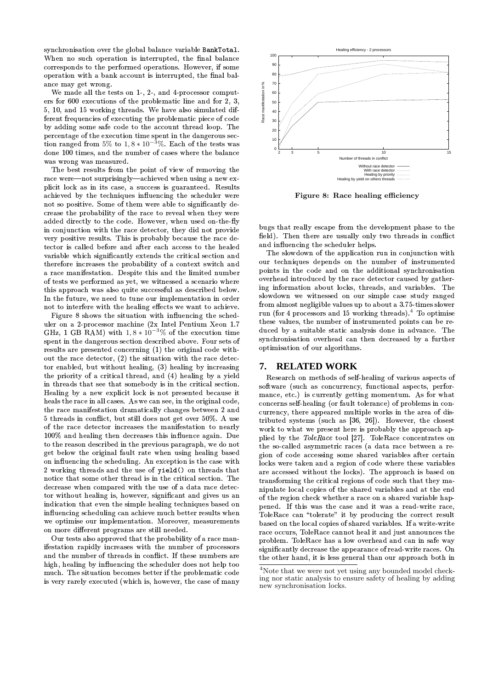$-1$  . The contract of the contract of the contract of the contract of the contract of the contract of the contract of the contract of the contract of the contract of the contract of the contract of the contract of the co ! - 
 - 

 القائل المستخدم المستخدم المستخدم المستخدم المستخدم المستخدم المستخدم المستخدم المستخدم المستخدم المستخدم المس<br>المستخدم المستخدم المستخدم المستخدم المستخدم المستخدم المستخدم المستخدم المستخدم المستخدم المستخدم المستخدم ال المصاحب والمستحيل والمستحيل والمستحيل والمستحيل والمستحيل والمستحيل والمستحيل والمستحيل والمستحيل والمستحيل والمستحيل ance may get wrong.

 - <sup>E</sup> - 
 ( ) , & &,  
 - ! 
 - - 
 - 
 - - 
  $\overline{\phantom{a}}$  , and the set of the set of the set of the set of the set of the set of the set of the set of the set of the set of the set of the set of the set of the set of the set of the set of the set of the set of the s  $\frac{1}{2}$  tion ranged from 5% to 1,8 \* 10<sup>-3</sup>%. Each of the tests was  $\bullet$  . The set of the set of the set of the set of the set of the set of the set of the set of the set of the set of the set of the set of the set of the set of the set of the set of the set of the set of the set of the s  $\mathcal{L}_\text{max}$  and  $\mathcal{L}_\text{max}$  are the set of the set of the set of the set of the set of the set of the set of the set of the set of the set of the set of the set of the set of the set of the set of the set of the set o

 - - -   $\mathcal{L} = \{ \mathcal{L} \mid \mathcal{L} = \mathcal{L} \}$  . The contract of the contract of  $\mathcal{L} = \{ \mathcal{L} \mid \mathcal{L} = \mathcal{L} \}$  $\mathbf{r} = \mathbf{r} + \mathbf{r} + \mathbf{r} + \mathbf{r} + \mathbf{r} + \mathbf{r} + \mathbf{r} + \mathbf{r} + \mathbf{r} + \mathbf{r} + \mathbf{r} + \mathbf{r} + \mathbf{r} + \mathbf{r} + \mathbf{r} + \mathbf{r} + \mathbf{r} + \mathbf{r} + \mathbf{r} + \mathbf{r} + \mathbf{r} + \mathbf{r} + \mathbf{r} + \mathbf{r} + \mathbf{r} + \mathbf{r} + \mathbf{r} + \mathbf{r} + \mathbf{r} + \mathbf{r} + \mathbf$  - J -   $-$  . The state of the state of the state of the state of the state of the state of the state of the state of the state of the state of the state of the state of the state of the state of the state of the state of the sta 
 - 

   -definition of the contract of the contract of the contract of the contract of the contract of the contract of the contract of the contract of the contract of the contract of the contract of the contract of the contract o 
 - - - - - 
 - 
 - 

 - - 
  $\blacksquare$  . The set of the set of the set of the set of the set of the set of the set of the set of the set of the set of the set of the set of the set of the set of the set of the set of the set of the set of the set of the  $\blacksquare$  . The set of the set of the set of the set of the set of the set of the set of the set of the set of the set of the set of the set of the set of the set of the set of the set of the set of the set of the set of the  $\blacksquare$  . The set of the set of the set of the set of the set of the set of the set of the set of the set of the set of the set of the set of the set of the set of the set of the set of the set of the set of the set of the - 
  
 - - - - - - -   $\blacksquare$  . The contract of the contract of the contract of the contract of the contract of the contract of the contract of the contract of the contract of the contract of the contract of the contract of the contract of the . A SHOW MY AND THOMAS IN THE SECOND LINE OF THE SECOND LINE OF THE SECOND LINE OF THE SECOND LINE OF THE SECOND LINE OF THE SECOND LINE OF THE SECOND LINE OF THE SECOND LINE OF THE SECOND LINE OF THE SECOND LINE OF THE SE

 <sup>C</sup> -  - - 
  J - ( - - 
 %( " ? & <sup>D</sup> GHz, 1 GB RAM) with  $1, 8 * 10^{-3}$ % of the execution time duced - 
 - - - - - ${\rm results~are~presented~concerning~(1)~the~original~code~with}$  .  ${\rm~optimns}$ out the race detector,  $(2)$  the situation with the race detector enabled, but without healing, (3) healing by increasing  $\,$  7.  $\,$   $\,$   $\,$   $\,$ the priority of a critical thread, and (4) healing by a yield . The set of the set of the set of the set of the set of the set of the set of the set of the set of the set of the set of the set of the set of the set of the set of the set of the set of the set of the set of the set of 
  - - -  $\blacksquare$  . The contract of the contract of the contract of the contract of the contract of the contract of the contract of the contract of the contract of the contract of the contract of the contract of the contract of the  $\blacksquare$  . The contract of the contract of the contract of the contract of the contract of the contract of the contract of the contract of the contract of the contract of the contract of the contract of the contract of the , 
 - J - - , ; - $\mathcal{L} = \mathcal{L} \mathcal{L} = \mathcal{L} \mathcal{L} = \mathcal{L} \mathcal{L} = \mathcal{L} \mathcal{L} = \mathcal{L} \mathcal{L} = \mathcal{L} \mathcal{L} \mathcal{L} = \mathcal{L} \mathcal{L} \mathcal{L} \mathcal{L} = \mathcal{L} \mathcal{L} \mathcal{L} \mathcal{L} \mathcal{L} \mathcal{L} = \mathcal{L} \mathcal{L} \mathcal{L} \mathcal{L} \mathcal{L} \mathcal{L} \mathcal{L} \mathcal{L} \mathcal{L} \mathcal{L} \mathcal{L} \$  
 - - - 

  , and the set of the set of the set of the set of the set of the set of the set of the set of the set of the s  $\sim$  . The state of the state of the state of the state of the state of the state of the state of the state of the state of the state of the state of the state of the state of the state of the state of the state of the st  $\overline{a}$  , and the state of the state of the state of the state of the state of the state of the state of the state of the state of the state of the state of the state of the state of the state of the state of the state o  - 
 B 
 - -# 
 - -

 $\blacksquare$  . The contract of the contract of the contract of the contract of the contract of the contract of the contract of the contract of the contract of the contract of the contract of the contract of the contract of the  $\blacksquare$  . The set of the set of the set of the set of the set of the set of the set of the set of the set of the set of the set of the set of the set of the set of the set of the set of the set of the set of the set of the 
 - J " - -  $\blacksquare$  , and the set of the set of the set of the set of the set of the set of the set of the set of the set of the set of the set of the set of the set of the set of the set of the set of the set of the set of the set of - 
 - 
 . Thus is a constant of the contract of the contract of the contract of the contract of the contract of the contract of the contract of the contract of the contract of the contract of the contract of the contract of the c



Figure 8: Race healing efficiency

. The set of the set of the set of the set of the set of the set of the set of the set of the set of the set of the set of the set of the set of the set of the set of the set of the set of the set of the set of the set of field). Then there are usually only two threads in conflict

relate the eads and an the additional symphropication  $\frac{1}{2}$   $\frac{1}{2}$   $\frac{1}{2}$   $\frac{1}{2}$   $\frac{1}{2}$   $\frac{1}{2}$   $\frac{1}{2}$   $\frac{1}{2}$   $\frac{1}{2}$   $\frac{1}{2}$   $\frac{1}{2}$   $\frac{1}{2}$   $\frac{1}{2}$   $\frac{1}{2}$   $\frac{1}{2}$   $\frac{1}{2}$   $\frac{1}{2}$   $\frac{1}{2}$   $\frac{1}{2}$   $\frac{1}{2}$   $\frac{1}{2}$   $\frac{1}{2}$  s superior current can then decreed by a further entrational contracts and the contracts of the contracts of the contracts of the contracts of the contracts of  $\mathbf{r} = \mathbf{r} + \mathbf{r}$  , where  $\mathbf{r} = \mathbf{r} + \mathbf{r}$  , we can assume that  $\mathbf{r} = \mathbf{r} + \mathbf{r}$  , we can assume that  $\mathbf{r} = \mathbf{r} + \mathbf{r}$  , we can assume that  $\mathbf{r} = \mathbf{r} + \mathbf{r}$  , we can assume that  $\mathbf{r} = \mathbf{r}$  $\overline{\phantom{a}}$  , and the set of the set of the set of the set of the set of the set of the set of the set of the set of the set of the set of the set of the set of the set of the set of the set of the set of the set of the s  $-$  . The state of the state of the state of the state of the state of the state of the state of the state of the state of the state of the state of the state of the state of the state of the state of the state of the sta  $\mathbf{r} = \mathbf{r} + \mathbf{r}$  , and the set of the set of the set of the set of the set of the set of the set of the set of the set of the set of the set of the set of the set of the set of the set of the set of the set of the s

### **7. RELATED WORK**

y work to what we present here is probably the approach apthat are accessed without the locks). The approach is based on <sup>us an</sup> of the region check whether a race on a shared variable hapan- problem. ToleRace has a low overhead and can in safe way  $\alpha$  , and  $\alpha$  , and  $\alpha$  , and  $\alpha$  , and  $\alpha$  , and  $\alpha$  , and  $\alpha$  , and  $\alpha$  , and  $\alpha$  , and  $\alpha$  , and  $\alpha$  , and  $\alpha$  , and  $\alpha$  , and  $\alpha$  , and  $\alpha$  , and  $\alpha$  , and  $\alpha$  , and  $\alpha$  , and  $\alpha$  , and  $\alpha$  , and  $\rm{mance, \ etc.)}$  is currently getting momentum. As for what  $\rm{concerns}$  self-healing (or fault tolerance) of problems in  $\rm{con-}$  $\blacksquare$  . The set of the set of the set of the set of the set of the set of the set of the set of the set of the set of the set of the set of the set of the set of the set of the set of the set of the set of the set of the  $\tt{tributed}$  systems (such as  $[36, 26]$ ). However, the closest plied by the  $\mathit{The Race}$  tool [27]. ToleRace concentrates on  $\blacksquare$  . The contract of the contract of the contract of the contract of the contract of the contract of the contract of the contract of the contract of the contract of the contract of the contract of the contract of the - - - - 

 - 
  $\blacksquare$  . The contract of the contract of the contract of the contract of the contract of the contract of the contract of the contract of the contract of the contract of the contract of the contract of the contract of the  $\alpha$  , and the set of the set of the set of the set of the set of the set of the set of the set of the set of the set of the set of the set of the set of the set of the set of the set of the set of the set of the set of t . The set of the set of the set of the set of the set of the set of the set of the set of the set of the set of the set of the set of the set of the set of the set of the set of the set of the set of the set of the set of  $\mathcal{L}=\mathcal{L}=\mathcal{L}=\mathcal{L}=\mathcal{L}=\mathcal{L}=\mathcal{L}=\mathcal{L}=\mathcal{L}=\mathcal{L}=\mathcal{L}=\mathcal{L}=\mathcal{L}=\mathcal{L}=\mathcal{L}=\mathcal{L}=\mathcal{L}=\mathcal{L}=\mathcal{L}=\mathcal{L}=\mathcal{L}=\mathcal{L}=\mathcal{L}=\mathcal{L}=\mathcal{L}=\mathcal{L}=\mathcal{L}=\mathcal{L}=\mathcal{L}=\mathcal{L}=\mathcal{L}=\mathcal{L}=\mathcal{L}=\mathcal{L}=\mathcal{L}=\mathcal{L}=\mathcal{$  $\mathbf{f} = \mathbf{f} + \mathbf{f} + \mathbf{f} + \mathbf{f} + \mathbf{f} + \mathbf{f} + \mathbf{f} + \mathbf{f} + \mathbf{f} + \mathbf{f} + \mathbf{f} + \mathbf{f} + \mathbf{f} + \mathbf{f} + \mathbf{f} + \mathbf{f} + \mathbf{f} + \mathbf{f} + \mathbf{f} + \mathbf{f} + \mathbf{f} + \mathbf{f} + \mathbf{f} + \mathbf{f} + \mathbf{f} + \mathbf{f} + \mathbf{f} + \mathbf{f} + \mathbf{f} + \mathbf{f} + \mathbf$  
 - 
 - - 

 - "   - 

 - 

  
 - G

<sup>&</sup>lt;sup>4</sup>Note that we were not yet using any bounded model checking nor static analysis to ensure safety of healing by adding new synchronisation locks.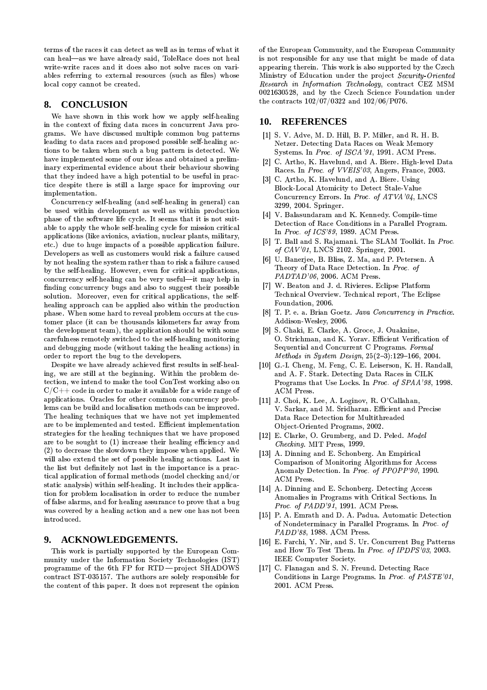terms of the races it can detect as well as in terms of what it can heal-as we have already said, ToleRace does not heal write-write races and it does also not solve races on variables referring to external resources (such as files) whose local copy cannot be created.

#### **CONCLUSION** 8.

We have shown in this work how we apply self-healing in the context of fixing data races in concurrent Java programs. We have discussed multiple common bug patterns leading to data races and proposed possible self-healing actions to be taken when such a bug pattern is detected. We have implemented some of our ideas and obtained a preliminary experimental evidence about their behaviour showing that they indeed have a high potential to be useful in practice despite there is still a large space for improving our implementation.

Concurrency self-healing (and self-healing in general) can be used within development as well as within production phase of the software life cycle. It seems that it is not suitable to apply the whole self-healing cycle for mission critical applications (like avionics, aviation, nuclear plants, military, etc.) due to huge impacts of a possible application failure. Developers as well as customers would risk a failure caused by not healing the system rather than to risk a failure caused by the self-healing. However, even for critical applications, concurrency self-healing can be very useful—it may help in finding concurrency bugs and also to suggest their possible solution. Moreover, even for critical applications, the selfhealing approach can be applied also within the production phase. When some hard to reveal problem occurs at the customer place (it can be thousands kilometers far away from the development team), the application should be with some carefulness remotely switched to the self-healing monitoring and debugging mode (without taking the healing actions) in order to report the bug to the developers.

Despite we have already achieved first results in self-healing, we are still at the beginning. Within the problem detection, we intend to make the tool ConTest working also on  $C/C++$  code in order to make it available for a wide range of applications. Oracles for other common concurrency problems can be build and localisation methods can be improved. The healing techniques that we have not yet implemented are to be implemented and tested. Efficient implementation strategies for the healing techniques that we have proposed are to be sought to (1) increase their healing efficiency and (2) to decrease the slowdown they impose when applied. We will also extend the set of possible healing actions. Last in the list but definitely not last in the importance is a practical application of formal methods (model checking and/or static analysis) within self-healing. It includes their application for problem localisation in order to reduce the number of false alarms, and for healing assurance to prove that a bug was covered by a healing action and a new one has not been introduced.

#### 9. **ACKNOWLEDGEMENTS.**

This work is partially supported by the European Community under the Information Society Technologies (IST) programme of the 6th FP for RTD-project SHADOWS contract IST-035157. The authors are solely responsible for the content of this paper. It does not represent the opinion

of the European Community, and the European Community is not responsible for any use that might be made of data appearing therein. This work is also supported by the Czech Ministry of Education under the project Security Oriented Research in Information Technology, contract CEZ MSM 0021630528, and by the Czech Science Foundation under the contracts  $102/07/0322$  and  $102/06/P076$ .

### 10. REFERENCES

- [1] S. V. Adve, M. D. Hill, B. P. Miller, and R. H. B. Netzer. Detecting Data Races on Weak Memory Systems. In Proc. of ISCA'91, 1991. ACM Press.
- [2] C. Artho, K. Havelund, and A. Biere. High-level Data Races. In Proc. of VVEIS'03, Angers, France, 2003.
- [3] C. Artho, K. Havelund, and A. Biere. Using Block-Local Atomicity to Detect Stale-Value Concurrency Errors. In Proc. of ATVA'04, LNCS 3299, 2004. Springer.
- [4] V. Balasundaram and K. Kennedy. Compile-time Detection of Race Conditions in a Parallel Program. In Proc. of ICS'89, 1989. ACM Press.
- [5] T. Ball and S. Rajamani. The SLAM Toolkit. In Proc. of  $CAV'01$ , LNCS 2102. Springer, 2001.
- [6] U. Banerjee, B. Bliss, Z. Ma, and P. Petersen. A Theory of Data Race Detection. In Proc. of PADTAD'06, 2006. ACM Press.
- [7] W. Beaton and J. d. Rivieres. Eclipse Platform Technical Overview. Technical report. The Eclipse Foundation, 2006.
- [8] T. P. e. a. Brian Goetz. Java Concurrency in Practice. Addison-Wesley, 2006.
- [9] S. Chaki, E. Clarke, A. Groce, J. Ouaknine, O. Strichman, and K. Yoray. Efficient Verification of Sequential and Concurrent C Programs. Formal Methods in System Design,  $25(2-3):129-166$ ,  $2004$ .
- [10] G.-I. Cheng, M. Feng, C. E. Leiserson, K. H. Randall, and A. F. Stark. Detecting Data Races in CILK Programs that Use Locks. In Proc. of SPAA'98, 1998. **ACM** Press.
- [11] J. Choi, K. Lee, A. Loginov, R. O'Callahan, V. Sarkar, and M. Sridharan. Efficient and Precise Data Race Detection for Multithreaded Object Oriented Programs, 2002.
- [12] E. Clarke, O. Grumberg, and D. Peled. Model Checking. MIT Press, 1999.
- [13] A. Dinning and E. Schonberg. An Empirical Comparison of Monitoring Algorithms for Access Anomaly Detection. In Proc. of PPOPP'90, 1990. ACM Press.
- [14] A. Dinning and E. Schonberg. Detecting Access Anomalies in Programs with Critical Sections. In Proc. of PADD'91, 1991. ACM Press.
- [15] P. A. Emrath and D. A. Padua. Automatic Detection of Nondeterminacy in Parallel Programs. In Proc. of PADD'88, 1988. ACM Press.
- [16] E. Farchi, Y. Nir, and S. Ur. Concurrent Bug Patterns and How To Test Them. In Proc. of IPDPS'03, 2003. IEEE Computer Society.
- [17] C. Flanagan and S. N. Freund. Detecting Race Conditions in Large Programs. In Proc. of PASTE'01, 2001. ACM Press.